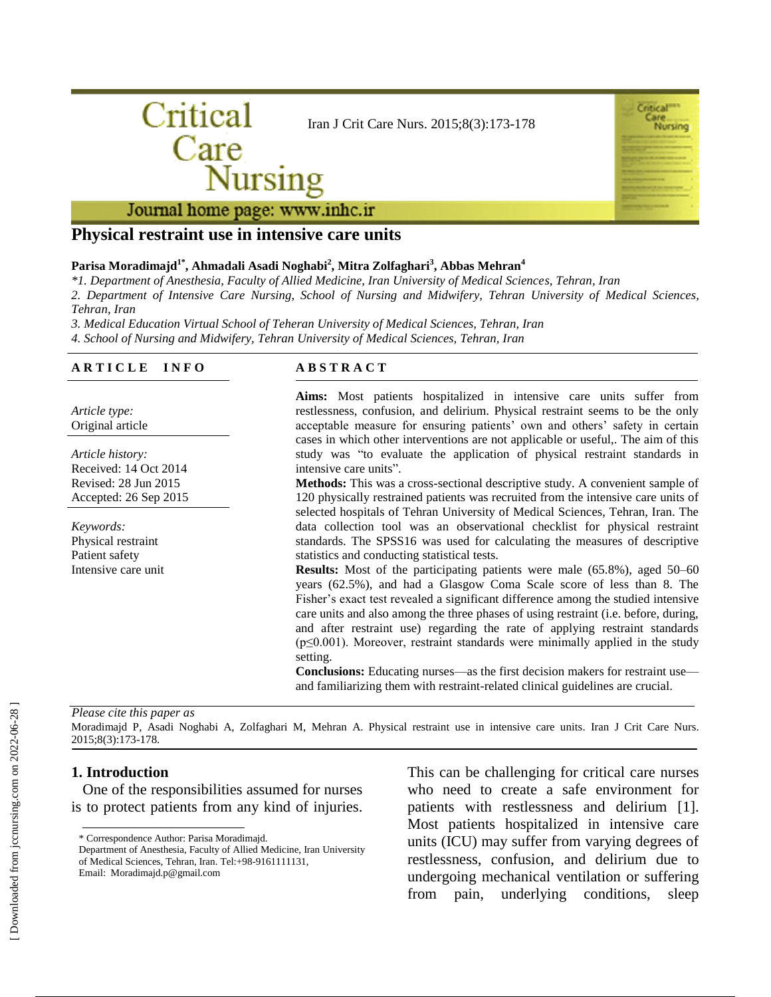



Journal home page: www.inhc.ir

## **Physical restraint use in intensive care units**

### **Parisa Moradimajd1\* , Ahmadali Asadi Noghabi<sup>2</sup> , Mitra Zolfaghari<sup>3</sup> , Abbas Mehran<sup>4</sup>**

*\*1. Department of Anesthesia, Faculty of Allied Medicine, Iran University of Medical Sciences, Tehran, Iran*

*2. Department of Intensive Care Nursing, School of Nursing and Midwifery, Tehran University of Medical Sciences, Tehran, Iran*

*3. Medical Education Virtual School of Teheran University of Medical Sciences, Tehran, Iran 4. School of Nursing and Midwifery, Tehran University of Medical Sciences, Tehran, Iran*

### **A R T I C L E I N F O**

*Article type:* Original article

*Article history:* Received: 14 Oct 2014 Revised: 28 Jun 2015 Accepted: 26 Sep 2015

*Keywords:* Physical restraint Patient safety Intensive care unit

### **A B S T R A C T**

**Aims:** Most patients hospitalized in intensive care units suffer from restlessness, confusion, and delirium. Physical restraint seems to be the only acceptable measure for ensuring patients' own and others' safety in certain cases in which other interventions are not applicable or useful,. The aim of this study was "to evaluate the application of physical restraint standards in intensive care units".

**Methods:** This was a cross-sectional descriptive study. A convenient sample of 120 physically restrained patients was recruited from the intensive care units of selected hospitals of Tehran University of Medical Sciences, Tehran, Iran. The data collection tool was an observational checklist for physical restraint standards. The SPSS16 was used for calculating the measures of descriptive statistics and conducting statistical tests.

**Results:** Most of the participating patients were male (65.8%), aged 50–60 years (62.5%), and had a Glasgow Coma Scale score of less than 8. The Fisher's exact test revealed a significant difference among the studied intensive care units and also among the three phases of using restraint (i.e. before, during, and after restraint use) regarding the rate of applying restraint standards (p≤0.001). Moreover, restraint standards were minimally applied in the study setting.

**Conclusions:** Educating nurses—as the first decision makers for restraint use and familiarizing them with restraint-related clinical guidelines are crucial.

#### *Please cite this paper as*

Moradimajd P, Asadi Noghabi A, Zolfaghari M, Mehran A. Physical restraint use in intensive care units. Iran J Crit Care Nurs. 2015;8(3):173-178.

#### **1. Introduction**

 One of the responsibilities assumed for nurses is to protect patients from any kind of injuries.

This can be challenging for critical care nurses who need to create a safe environment for patients with restlessness and delirium [1]. Most patients hospitalized in intensive care units (ICU) may suffer from varying degrees of restlessness, confusion, and delirium due to undergoing mechanical ventilation or suffering from pain, underlying conditions, sleep

<sup>\*</sup> Correspondence Author: Parisa Moradimajd.

Department of Anesthesia, Faculty of Allied Medicine, Iran University of Medical Sciences, Tehran, Iran. Tel:+98-9161111131, Email: Moradimajd.p@gmail.com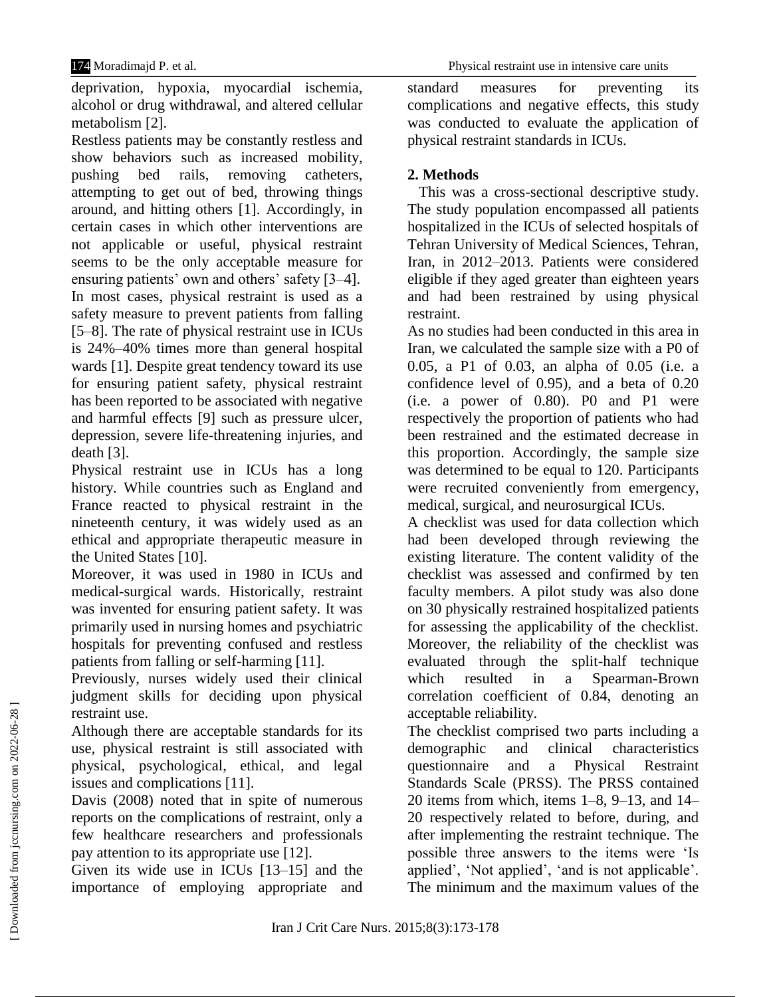deprivation, hypoxia, myocardial ischemia, alcohol or drug withdrawal, and altered cellular metabolism [2].

Restless patients may be constantly restless and show behaviors such as increased mobility, pushing bed rails, removing catheters, attempting to get out of bed, throwing things around, and hitting others [1]. Accordingly, in certain cases in which other interventions are not applicable or useful, physical restraint seems to be the only acceptable measure for ensuring patients' own and others' safety [3–4]. In most cases, physical restraint is used as a safety measure to prevent patients from falling [5–8]. The rate of physical restraint use in ICUs is 24%–40% times more than general hospital wards [1]. Despite great tendency toward its use for ensuring patient safety, physical restraint has been reported to be associated with negative and harmful effects [9] such as pressure ulcer, depression, severe life-threatening injuries, and death [3].

Physical restraint use in ICUs has a long history. While countries such as England and France reacted to physical restraint in the nineteenth century, it was widely used as an ethical and appropriate therapeutic measure in the United States [10].

Moreover, it was used in 1980 in ICUs and medical-surgical wards. Historically, restraint was invented for ensuring patient safety. It was primarily used in nursing homes and psychiatric hospitals for preventing confused and restless patients from falling or self-harming [11].

Previously, nurses widely used their clinical judgment skills for deciding upon physical restraint use.

Although there are acceptable standards for its use, physical restraint is still associated with physical, psychological, ethical, and legal issues and complications [11].

Davis (2008) noted that in spite of numerous reports on the complications of restraint, only a few healthcare researchers and professionals pay attention to its appropriate use [12].

Given its wide use in ICUs [13–15] and the importance of employing appropriate and

standard measures for preventing its complications and negative effects, this study was conducted to evaluate the application of physical restraint standards in ICUs.

## **2. Methods**

 This was a cross-sectional descriptive study. The study population encompassed all patients hospitalized in the ICUs of selected hospitals of Tehran University of Medical Sciences, Tehran, Iran, in 2012–2013. Patients were considered eligible if they aged greater than eighteen years and had been restrained by using physical restraint.

As no studies had been conducted in this area in Iran, we calculated the sample size with a P0 of 0.05, a P1 of 0.03, an alpha of 0.05 (i.e. a confidence level of 0.95), and a beta of 0.20 (i.e. a power of 0.80). P0 and P1 were respectively the proportion of patients who had been restrained and the estimated decrease in this proportion. Accordingly, the sample size was determined to be equal to 120. Participants were recruited conveniently from emergency, medical, surgical, and neurosurgical ICUs.

A checklist was used for data collection which had been developed through reviewing the existing literature. The content validity of the checklist was assessed and confirmed by ten faculty members. A pilot study was also done on 30 physically restrained hospitalized patients for assessing the applicability of the checklist. Moreover, the reliability of the checklist was evaluated through the split-half technique which resulted in a Spearman-Brown correlation coefficient of 0.84, denoting an acceptable reliability.

The checklist comprised two parts including a demographic and clinical characteristics questionnaire and a Physical Restraint Standards Scale (PRSS). The PRSS contained 20 items from which, items 1–8, 9–13, and 14– 20 respectively related to before, during, and after implementing the restraint technique. The possible three answers to the items were 'Is applied', 'Not applied', 'and is not applicable'. The minimum and the maximum values of the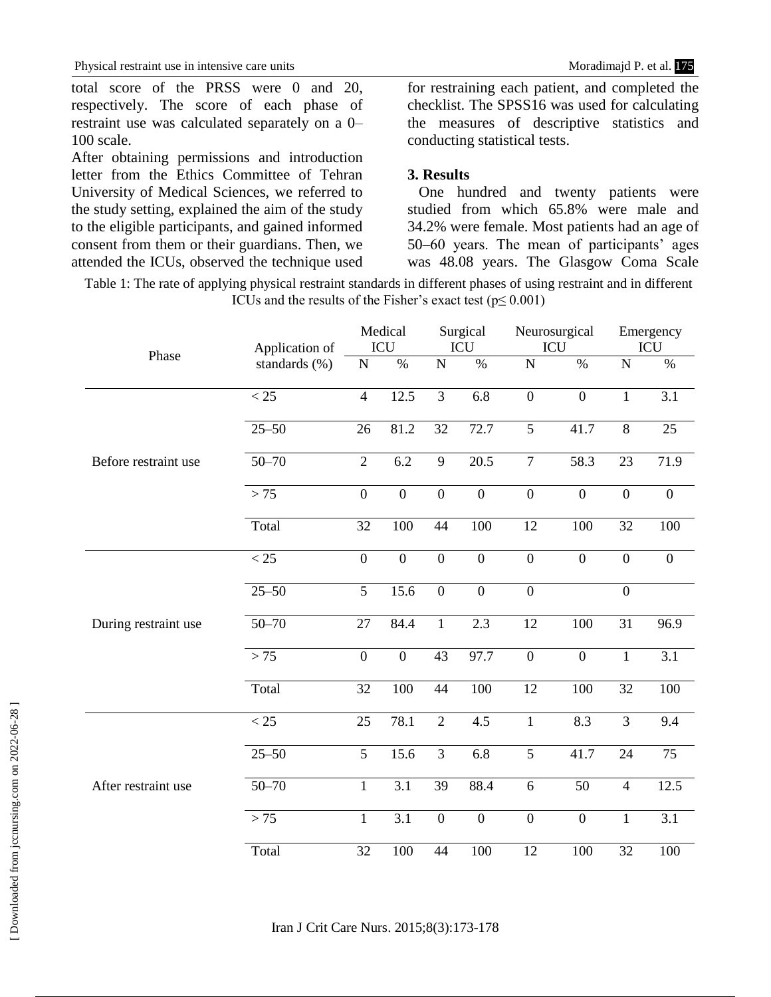total score of the PRSS were 0 and 20, respectively. The score of each phase of restraint use was calculated separately on a 0– 100 scale.

After obtaining permissions and introduction letter from the Ethics Committee of Tehran University of Medical Sciences, we referred to the study setting, explained the aim of the study to the eligible participants, and gained informed consent from them or their guardians. Then, we attended the ICUs, observed the technique used for restraining each patient, and completed the checklist. The SPSS16 was used for calculating the measures of descriptive statistics and conducting statistical tests.

## **3. Results**

 One hundred and twenty patients were studied from which 65.8% were male and 34.2% were female. Most patients had an age of 50–60 years. The mean of participants' ages was 48.08 years. The Glasgow Coma Scale

Table 1: The rate of applying physical restraint standards in different phases of using restraint and in different ICUs and the results of the Fisher's exact test ( $p \le 0.001$ )

| Phase                | Application of<br>standards (%) | Medical<br><b>ICU</b> |                  | Surgical<br>ICU  |                  | Neurosurgical<br>ICU |                | Emergency<br>ICU |                  |
|----------------------|---------------------------------|-----------------------|------------------|------------------|------------------|----------------------|----------------|------------------|------------------|
|                      |                                 | ${\bf N}$             | $\%$             | $\mathbf N$      | $\%$             | $\mathbf N$          | $\%$           | ${\bf N}$        | $\%$             |
| Before restraint use | $\overline{25}$                 | $\overline{4}$        | 12.5             | $\overline{3}$   | $\overline{6.8}$ | $\overline{0}$       | $\overline{0}$ | $\mathbf{1}$     | $\overline{3.1}$ |
|                      | $25 - 50$                       | 26                    | 81.2             | 32               | 72.7             | $\overline{5}$       | 41.7           | $\overline{8}$   | 25               |
|                      | $50 - 70$                       | $\overline{2}$        | 6.2              | 9                | 20.5             | $\overline{7}$       | 58.3           | 23               | 71.9             |
|                      | > 75                            | $\overline{0}$        | $\overline{0}$   | $\overline{0}$   | $\overline{0}$   | $\overline{0}$       | $\overline{0}$ | $\overline{0}$   | $\overline{0}$   |
|                      | Total                           | 32                    | 100              | 44               | 100              | 12                   | 100            | 32               | 100              |
| During restraint use | $\overline{25}$                 | $\overline{0}$        | $\overline{0}$   | $\overline{0}$   | $\overline{0}$   | $\overline{0}$       | $\overline{0}$ | $\overline{0}$   | $\overline{0}$   |
|                      | $25 - 50$                       | 5                     | 15.6             | $\mathbf{0}$     | $\boldsymbol{0}$ | $\overline{0}$       |                | $\boldsymbol{0}$ |                  |
|                      | $50 - 70$                       | $\overline{27}$       | 84.4             | $\mathbf{1}$     | $\overline{2.3}$ | 12                   | 100            | $\overline{31}$  | 96.9             |
|                      | $>75$                           | $\overline{0}$        | $\overline{0}$   | $\overline{43}$  | 97.7             | $\overline{0}$       | $\overline{0}$ | $\overline{1}$   | $\overline{3.1}$ |
|                      | Total                           | $\overline{32}$       | 100              | 44               | 100              | 12                   | 100            | $\overline{32}$  | 100              |
| After restraint use  | $\overline{25}$                 | 25                    | 78.1             | $\overline{2}$   | $\overline{4.5}$ | $\mathbf{1}$         | 8.3            | $\overline{3}$   | $\overline{9.4}$ |
|                      | $25 - 50$                       | $\overline{5}$        | 15.6             | $\overline{3}$   | 6.8              | 5                    | 41.7           | 24               | 75               |
|                      | $50 - 70$                       | $\mathbf{1}$          | $\overline{3.1}$ | $\overline{39}$  | 88.4             | 6                    | 50             | $\overline{4}$   | 12.5             |
|                      | > 75                            | $\mathbf{1}$          | $\overline{3.1}$ | $\boldsymbol{0}$ | $\overline{0}$   | $\boldsymbol{0}$     | $\mathbf{0}$   | $\mathbf{1}$     | $\overline{3.1}$ |
|                      | Total                           | $\overline{32}$       | 100              | 44               | 100              | 12                   | 100            | 32               | 100              |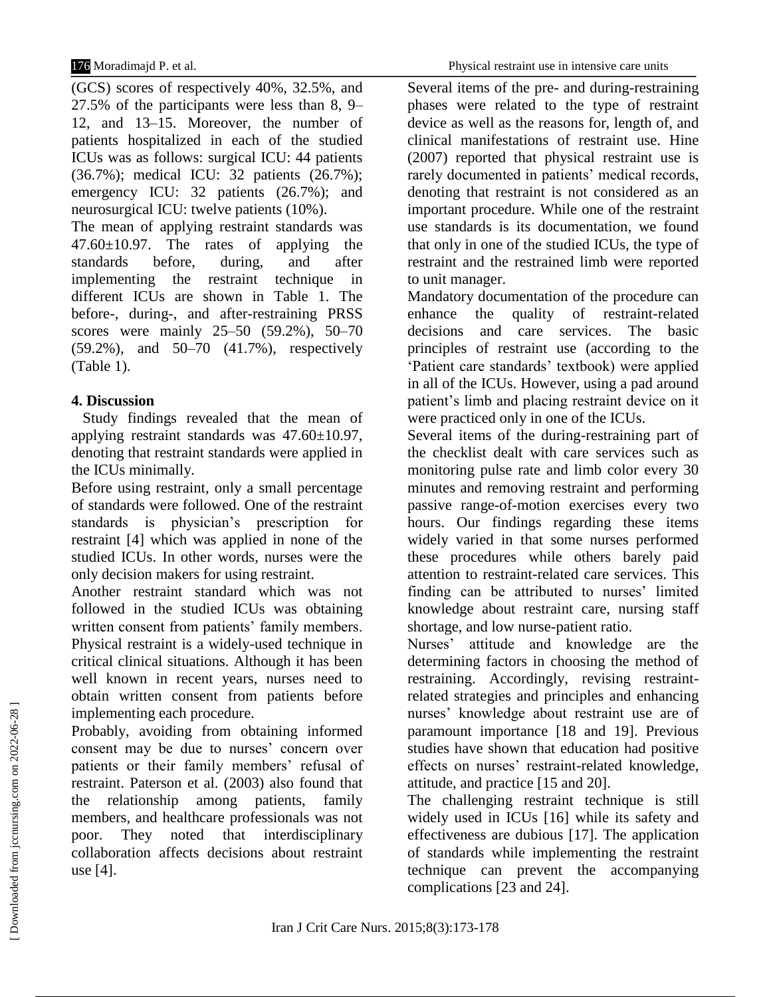(GCS) scores of respectively 40%, 32.5%, and 27.5% of the participants were less than 8, 9– 12, and 13–15. Moreover, the number of patients hospitalized in each of the studied ICUs was as follows: surgical ICU: 44 patients (36.7%); medical ICU: 32 patients (26.7%); emergency ICU: 32 patients (26.7%); and neurosurgical ICU: twelve patients (10%).

The mean of applying restraint standards was 47.60±10.97. The rates of applying the standards before, during, and after implementing the restraint technique in different ICUs are shown in Table 1. The before-, during-, and after-restraining PRSS scores were mainly 25–50 (59.2%), 50–70 (59.2%), and 50–70 (41.7%), respectively (Table 1).

# **4. Discussion**

 Study findings revealed that the mean of applying restraint standards was 47.60±10.97, denoting that restraint standards were applied in the ICUs minimally.

Before using restraint, only a small percentage of standards were followed. One of the restraint standards is physician's prescription for restraint [4] which was applied in none of the studied ICUs. In other words, nurses were the only decision makers for using restraint.

Another restraint standard which was not followed in the studied ICUs was obtaining written consent from patients' family members. Physical restraint is a widely-used technique in critical clinical situations. Although it has been well known in recent years, nurses need to obtain written consent from patients before implementing each procedure.

Probably, avoiding from obtaining informed consent may be due to nurses' concern over patients or their family members' refusal of restraint. Paterson et al. (2003) also found that the relationship among patients, family members, and healthcare professionals was not poor. They noted that interdisciplinary collaboration affects decisions about restraint use [4].

Several items of the pre- and during-restraining phases were related to the type of restraint device as well as the reasons for, length of, and clinical manifestations of restraint use. Hine (2007) reported that physical restraint use is rarely documented in patients' medical records, denoting that restraint is not considered as an important procedure. While one of the restraint use standards is its documentation, we found that only in one of the studied ICUs, the type of restraint and the restrained limb were reported to unit manager.

Mandatory documentation of the procedure can enhance the quality of restraint-related decisions and care services. The basic principles of restraint use (according to the 'Patient care standards' textbook) were applied in all of the ICUs. However, using a pad around patient's limb and placing restraint device on it were practiced only in one of the ICUs.

Several items of the during-restraining part of the checklist dealt with care services such as monitoring pulse rate and limb color every 30 minutes and removing restraint and performing passive range-of-motion exercises every two hours. Our findings regarding these items widely varied in that some nurses performed these procedures while others barely paid attention to restraint-related care services. This finding can be attributed to nurses' limited knowledge about restraint care, nursing staff shortage, and low nurse-patient ratio.

Nurses' attitude and knowledge are the determining factors in choosing the method of restraining. Accordingly, revising restraintrelated strategies and principles and enhancing nurses' knowledge about restraint use are of paramount importance [18 and 19]. Previous studies have shown that education had positive effects on nurses' restraint-related knowledge, attitude, and practice [15 and 20].

The challenging restraint technique is still widely used in ICUs [16] while its safety and effectiveness are dubious [17]. The application of standards while implementing the restraint technique can prevent the accompanying complications [23 and 24].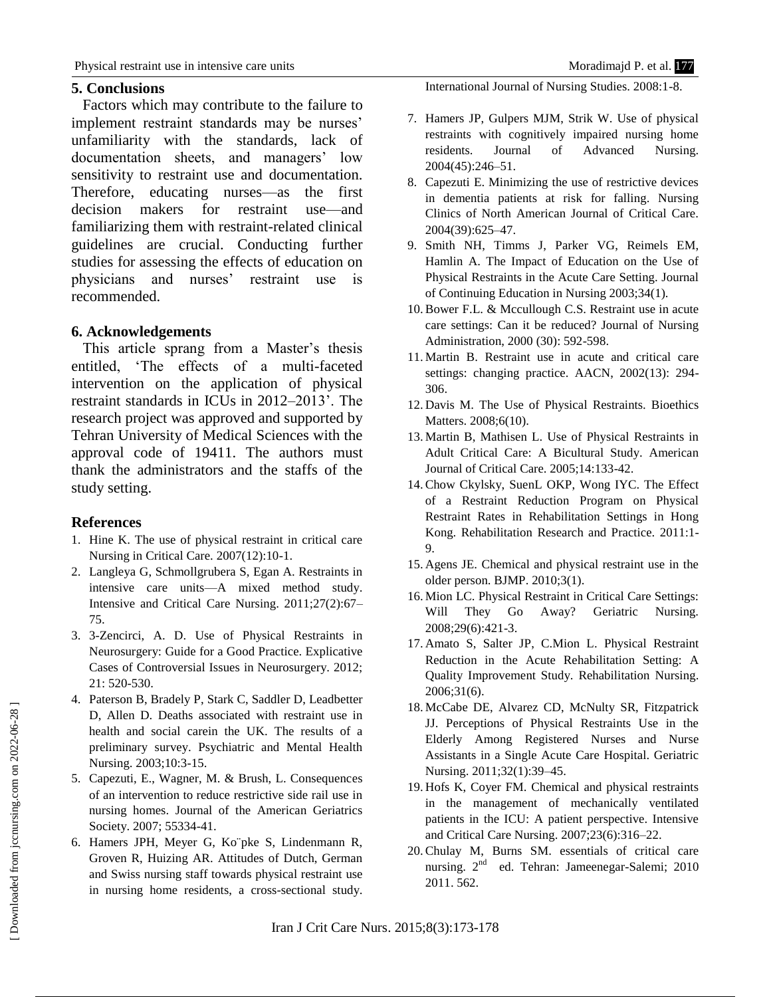## **5. Conclusions**

 Factors which may contribute to the failure to implement restraint standards may be nurses' unfamiliarity with the standards, lack of documentation sheets, and managers' low sensitivity to restraint use and documentation. Therefore, educating nurses—as the first decision makers for restraint use—and familiarizing them with restraint-related clinical guidelines are crucial. Conducting further studies for assessing the effects of education on physicians and nurses' restraint use is recommended.

## **6. Acknowledgements**

 This article sprang from a Master's thesis entitled, 'The effects of a multi-faceted intervention on the application of physical restraint standards in ICUs in 2012–2013'. The research project was approved and supported by Tehran University of Medical Sciences with the approval code of 19411. The authors must thank the administrators and the staffs of the study setting.

## **References**

- 1. Hine K. The use of physical restraint in critical care Nursing in Critical Care. 2007(12):10-1.
- 2. Langleya G, Schmollgrubera S, Egan A. Restraints in intensive care units—A mixed method study. Intensive and Critical Care Nursing. 2011;27(2):67– 75.
- 3. 3-Zencirci, A. D. Use of Physical Restraints in Neurosurgery: Guide for a Good Practice. Explicative Cases of Controversial Issues in Neurosurgery. 2012; 21: 520-530.
- 4. Paterson B, Bradely P, Stark C, Saddler D, Leadbetter D, Allen D. Deaths associated with restraint use in health and social carein the UK. The results of a preliminary survey. Psychiatric and Mental Health Nursing. 2003;10:3-15.
- 5. Capezuti, E., Wagner, M. & Brush, L. Consequences of an intervention to reduce restrictive side rail use in nursing homes. Journal of the American Geriatrics Society. 2007; 55334-41.
- 6. Hamers JPH, Meyer G, Ko¨pke S, Lindenmann R, Groven R, Huizing AR. Attitudes of Dutch, German and Swiss nursing staff towards physical restraint use in nursing home residents, a cross-sectional study.

International Journal of Nursing Studies. 2008:1-8.

- 7. Hamers JP, Gulpers MJM, Strik W. Use of physical restraints with cognitively impaired nursing home residents. Journal of Advanced Nursing. 2004(45):246–51.
- 8. Capezuti E. Minimizing the use of restrictive devices in dementia patients at risk for falling. Nursing Clinics of North American Journal of Critical Care. 2004(39):625–47.
- 9. Smith NH, Timms J, Parker VG, Reimels EM, Hamlin A. The Impact of Education on the Use of Physical Restraints in the Acute Care Setting. Journal of Continuing Education in Nursing 2003;34(1).
- 10.Bower F.L. & Mccullough C.S. Restraint use in acute care settings: Can it be reduced? Journal of Nursing Administration, 2000 (30): 592-598.
- 11. Martin B. Restraint use in acute and critical care settings: changing practice. AACN, 2002(13): 294- 306.
- 12. Davis M. The Use of Physical Restraints. Bioethics Matters. 2008;6(10).
- 13. Martin B, Mathisen L. Use of Physical Restraints in Adult Critical Care: A Bicultural Study. American Journal of Critical Care. 2005;14:133-42.
- 14.Chow Ckylsky, SuenL OKP, Wong IYC. The Effect of a Restraint Reduction Program on Physical Restraint Rates in Rehabilitation Settings in Hong Kong. Rehabilitation Research and Practice. 2011:1- 9.
- 15. Agens JE. Chemical and physical restraint use in the older person. BJMP. 2010;3(1).
- 16. Mion LC. Physical Restraint in Critical Care Settings: Will They Go Away? Geriatric Nursing. 2008;29(6):421-3.
- 17. Amato S, Salter JP, C.Mion L. Physical Restraint Reduction in the Acute Rehabilitation Setting: A Quality Improvement Study. Rehabilitation Nursing. 2006;31(6).
- 18. McCabe DE, Alvarez CD, McNulty SR, Fitzpatrick JJ. Perceptions of Physical Restraints Use in the Elderly Among Registered Nurses and Nurse Assistants in a Single Acute Care Hospital. Geriatric Nursing. 2011;32(1):39–45.
- 19. Hofs K, Coyer FM. Chemical and physical restraints in the management of mechanically ventilated patients in the ICU: A patient perspective. Intensive and Critical Care Nursing. 2007;23(6):316–22.
- 20.Chulay M, Burns SM. essentials of critical care nursing. 2<sup>nd</sup> ed. Tehran: Jameenegar-Salemi; 2010 2011. 562.